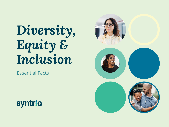# *Diversity, Equity & Inclusion*

Essential Facts



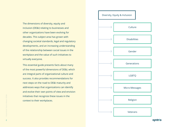The dimensions of diversity, equity and inclusion (DE&I) relating to businesses and other organizations have been evolving for decades. This subject area has grown with changing societal standards, legal and regulatory developments, and an increasing understanding of the relationship between social issues in the workplace and the value of such initiatives to virtually everyone.

This essential guide presents facts about many of the most powerful dimensions of DE&I, which are integral parts of organizational culture and success. It also provides recommendations for next steps on the road to DE&I maturity and addresses ways that organizations can identify and evolve their own points of view and envision initiatives that recognize these issues in the context to their workplaces.



#### **syntrio**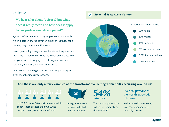# **Culture**

**We hear a lot about "culture," but what does it really mean and how does it apply to our professional development?** 

Syntrio defines "culture" as a group or community with which a person shares common experiences that shape the way they understand the world.

Now, try recalling how your own beliefs and experiences may have shaped the way you view your own world. How has your own culture played a role in your own career selection, ambition, and even work ethic?

Culture can have a big impact on how people interpret a variety of business interactions.

*Essential Facts About Culture* $\boldsymbol{v}$ 



## **And these are only a few examples of the transformative demographic shifts occurring around us:**



In 1950, 9 out of 10 Americans were white. Today, there are less than two white people to every one person of color.



Immigrants account for over half of all new U.S. workers.

*54%* **minority**

The nation's population will be 54% minority by the year 2050.

Over *60 percent* of the world's population is bilingual.

In the United States alone, over 150 languages are regularly spoken.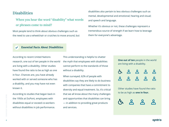# **Disabilities**

**When you hear the word "disability" what words or phrases come to mind?** 

Most people tend to think about obvious challenges such as the need to use a wheelchair or crutches to move around, but disabilities also pertain to less obvious challenges such as mental, developmental and emotional; hearing and visual; and speech and language.

Whether it's obvious or not, these challenges represent a tremendous source of strength if we learn how to leverage them for everyone's advantage.

#### *Essential Facts About Disabilities*

According to recent United Nations research, one out of ten people in the world are living with a disability. Other studies have found the ratio to be as high as one in four. Chances are, you have already worked with or served someone who has a disability, and you may have not even known it.

According to studies that began back in the 1950s at DuPont, employees with disabilities equal or exceed co-workers without disabilities in job performance.

This understanding is helpful to shatter the myth that employees with disabilities cannot perform to the standards of those without a disability.

When surveyed, 62% of people with disabilities say they are likely to do business with companies that have a commitment to diversity and equal treatment. So, it's critical that we all know about the many challenges and opportunities that disabilities can bring — in addition to providing great products and services.

| <b>One out of ten</b> people in the world |
|-------------------------------------------|
| are living with a disability.             |

Other studies have found the ratio to be as high as **one in four.**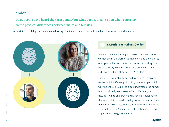# **Gender**

**Most people have heard the term gender but what does it mean to you when referring to the physical differences between males and females?**

In short, it's the ability for each of us to leverage the innate distinctions that we all possess as males and females.



## *Essential Facts About Gender*

More women are starting businesses than men, more women are in the workforce than men, and the majority of degree-holders are now women. Yet, according to a recent census, women are still only dominating fields and industries that are often seen as "female."

Each of us has probably noticed by now that men and women think differently. But did you ever stop to think why? Scientists around the globe understand the human brain is primarily composed of two different types of tissues — white and grey matter. Recent studies reveal that men think more with their gray matter, and women think more with white. While this difference in white and grey matter doesn't impact overall intelligence — it does impact how each gender learns.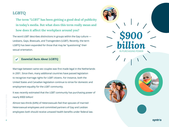# **LGBTQ**

**The term "LGBT" has been getting a good deal of publicity in today's media. But what does this term really mean and how does it affect the workplace around you?**

The word LGBT describes distinctions in groups within the Gay culture — Lesbians, Gays, Bisexuals, and Transgenders (LGBT). Recently, the term LGBTQ has been expanded for those that may be "questioning" their sexual orientation.

#### *Essential Facts About LGBTQ*

Marriage between same-sex couples was first made legal in the Netherlands in 2001. Since then, many additional countries have passed legislation to recognize marriage rights for LGBT citizens. For instance, both the United States and Canadian legislation continue to strive for domestic and employment equality for the LGBT community.

It was recently estimated that the LGBT community has purchasing power of nearly \$900 billion!

Almost two-thirds (64%) of Heterosexuals feel that spouses of married Heterosexual employees and committed partners of Gay and Lesbian employees both should receive untaxed health benefits under federal law.

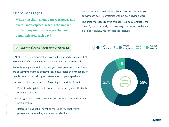# **Micro-Messages**

**When you think about your workplace and overall marketplace, what is the impact of the many micro-messages that are communicated each day?**

#### *Essential Facts About Micro-Messages*

58% of effective communication is carried in our body language, 35% in our voice inflection and tone, and only 7% in our actual words.

Active listening and monitoring how you participate in communication are equally important as effective speaking. Studies show that 82% of people prefer to talk with great listeners — not great speakers.

Unconscious bias surrounds us. According to a variety of studies:

- Patients in hospitals can be treated less promptly and effectively based on their race.
- Managers are more likely to hire and promote members of their own in-group.
- Referees in basketball might be more likely to subtly favor players with whom they share a racial identity.

Micro-messages are those small but powerful messages you convey each day — sometimes without even saying a word.

The small messages relayed through your body language, the tone of your voice, and your proximity to a person can have a big impact on how your message is received.

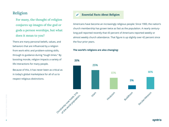# **Religion**

**For many, the thought of religion conjures up images of the god or gods a person worships, but what does it mean to you?**

There are many personal beliefs, values, and behaviors that are influenced by a religion from work ethic and problem-solving skills, through to guidance during "tough times." By boosting morale, religion impacts a variety of life interactions for many people.

Because of this, it has never been as critical as in today's global marketplace for all of us to respect religious distinctions.

#### *Essential Facts About Religion*  $\checkmark$

Americans have become an increasingly religious people: Since 1900, the nation's church membership has grown twice as fast as the population. A nearly centurylong poll reported recently that 43 percent of Americans reported weekly or almost weekly church attendance. That figure is up slightly over 42 percent since the four prior years.

#### **The world's religions are also changing:**



**syntrio**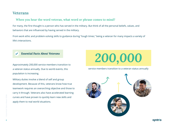# **Veterans**

# **When you hear the word veteran, what word or phrase comes to mind?**

For many, the first thought is a person who has served in the military. But think of all the personal beliefs, values, and behaviors that are influenced by having served in the military.

From work ethic and problem-solving skills to guidance during "tough times," being a veteran for many impacts a variety of life's interactions.

## *Essential Facts About Veterans*

Approximately 200,000 service members transition to a veteran status annually. Due to world events, this population is increasing.

Military duties involve a blend of self and group development. Because of this, veterans know how true teamwork requires an overarching objective and those to carry it through. Veterans also have accelerated learning curves and have proven to quickly learn new skills and apply them to real world situations.

# *200,000*

service members transition to a veteran status annually

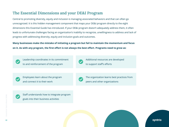# **The Essential Dimensions and your DE&I Program**

Central to promoting diversity, equity and inclusion is managing associated behaviors and that can often go unrecognized. It is this hidden management component that maps your DE&I program directly to the eight dimensions this Essential Guide has introduced. If your DE&I program doesn't adequately address them, it often leads to unfortunate challenges facing an organization's inability to recognize, unwillingness to address and lack of progress with addressing diversity, equity and inclusion goals and outcomes.

**Many businesses make the mistake of initiating a program but fail to maintain the momentum and focus on it. As with any program, the first effort is not always the best effort. Programs need to grow as:** 

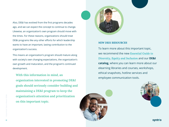Also, DE&I has evolved from the first programs decades ago, and we can expect the concept to continue to change. Likewise, an organization's own program should move with the times. For these reasons, organizations should treat DE&I programs like any other efforts for which leadership wants to have an important, lasting contribution to the organization's success.

This means an organization's program should mature along with society's own changing expectations, the organization's own growth and maturation, and the program's continued development.

**With this information in mind, an organization interested in promoting DE&I goals should seriously consider building and maintaining a DE&I program to keep the organization's attention and prioritization on this important topic.**



#### *NEW DE&I RESOURCES*

To learn more about this important topic, we recommend the new *[Essential Guide to](https://www.syntrio.com/resources/whitepapers/essential-guide-to-diversity-equity-inclusion/)  [Diversity, Equity and Inclusion](https://www.syntrio.com/resources/whitepapers/essential-guide-to-diversity-equity-inclusion/)* and our **DE&I catalog**, where you can learn more about our elearning libraries and courses, workshops, ethical snapshots, hotline services and employee communication tools.